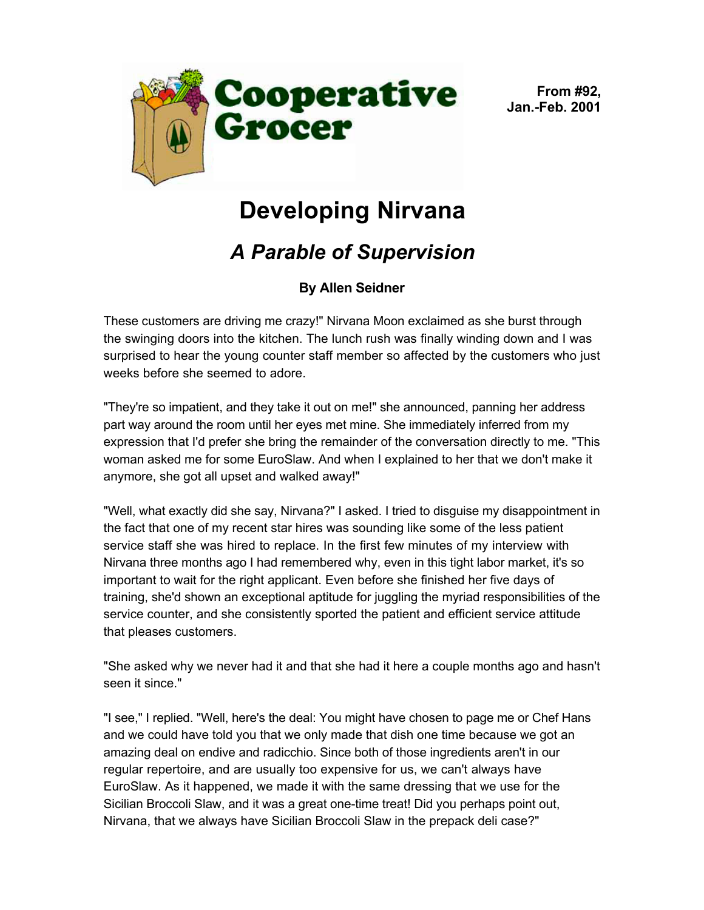

**From #92, Jan.-Feb. 2001**

## **Developing Nirvana**

## *A Parable of Supervision*

## **By Allen Seidner**

These customers are driving me crazy!" Nirvana Moon exclaimed as she burst through the swinging doors into the kitchen. The lunch rush was finally winding down and I was surprised to hear the young counter staff member so affected by the customers who just weeks before she seemed to adore.

"They're so impatient, and they take it out on me!" she announced, panning her address part way around the room until her eyes met mine. She immediately inferred from my expression that I'd prefer she bring the remainder of the conversation directly to me. "This woman asked me for some EuroSlaw. And when I explained to her that we don't make it anymore, she got all upset and walked away!"

"Well, what exactly did she say, Nirvana?" I asked. I tried to disguise my disappointment in the fact that one of my recent star hires was sounding like some of the less patient service staff she was hired to replace. In the first few minutes of my interview with Nirvana three months ago I had remembered why, even in this tight labor market, it's so important to wait for the right applicant. Even before she finished her five days of training, she'd shown an exceptional aptitude for juggling the myriad responsibilities of the service counter, and she consistently sported the patient and efficient service attitude that pleases customers.

"She asked why we never had it and that she had it here a couple months ago and hasn't seen it since."

"I see," I replied. "Well, here's the deal: You might have chosen to page me or Chef Hans and we could have told you that we only made that dish one time because we got an amazing deal on endive and radicchio. Since both of those ingredients aren't in our regular repertoire, and are usually too expensive for us, we can't always have EuroSlaw. As it happened, we made it with the same dressing that we use for the Sicilian Broccoli Slaw, and it was a great one-time treat! Did you perhaps point out, Nirvana, that we always have Sicilian Broccoli Slaw in the prepack deli case?"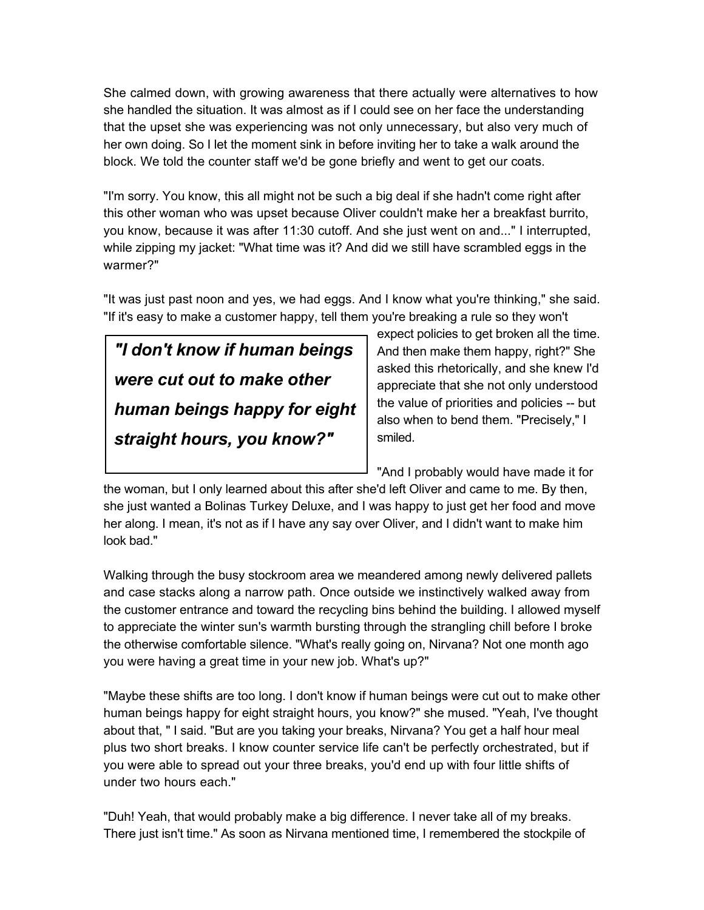She calmed down, with growing awareness that there actually were alternatives to how she handled the situation. It was almost as if I could see on her face the understanding that the upset she was experiencing was not only unnecessary, but also very much of her own doing. So I let the moment sink in before inviting her to take a walk around the block. We told the counter staff we'd be gone briefly and went to get our coats.

"I'm sorry. You know, this all might not be such a big deal if she hadn't come right after this other woman who was upset because Oliver couldn't make her a breakfast burrito, you know, because it was after 11:30 cutoff. And she just went on and..." I interrupted, while zipping my jacket: "What time was it? And did we still have scrambled eggs in the warmer?"

"It was just past noon and yes, we had eggs. And I know what you're thinking," she said. "If it's easy to make a customer happy, tell them you're breaking a rule so they won't

## *"I don't know if human beings were cut out to make other human beings happy for eight straight hours, you know?"*

expect policies to get broken all the time. And then make them happy, right?" She asked this rhetorically, and she knew I'd appreciate that she not only understood the value of priorities and policies -- but also when to bend them. "Precisely," I smiled.

"And I probably would have made it for

the woman, but I only learned about this after she'd left Oliver and came to me. By then, she just wanted a Bolinas Turkey Deluxe, and I was happy to just get her food and move her along. I mean, it's not as if I have any say over Oliver, and I didn't want to make him look bad."

Walking through the busy stockroom area we meandered among newly delivered pallets and case stacks along a narrow path. Once outside we instinctively walked away from the customer entrance and toward the recycling bins behind the building. I allowed myself to appreciate the winter sun's warmth bursting through the strangling chill before I broke the otherwise comfortable silence. "What's really going on, Nirvana? Not one month ago you were having a great time in your new job. What's up?"

"Maybe these shifts are too long. I don't know if human beings were cut out to make other human beings happy for eight straight hours, you know?" she mused. "Yeah, I've thought about that, " I said. "But are you taking your breaks, Nirvana? You get a half hour meal plus two short breaks. I know counter service life can't be perfectly orchestrated, but if you were able to spread out your three breaks, you'd end up with four little shifts of under two hours each."

"Duh! Yeah, that would probably make a big difference. I never take all of my breaks. There just isn't time." As soon as Nirvana mentioned time, I remembered the stockpile of